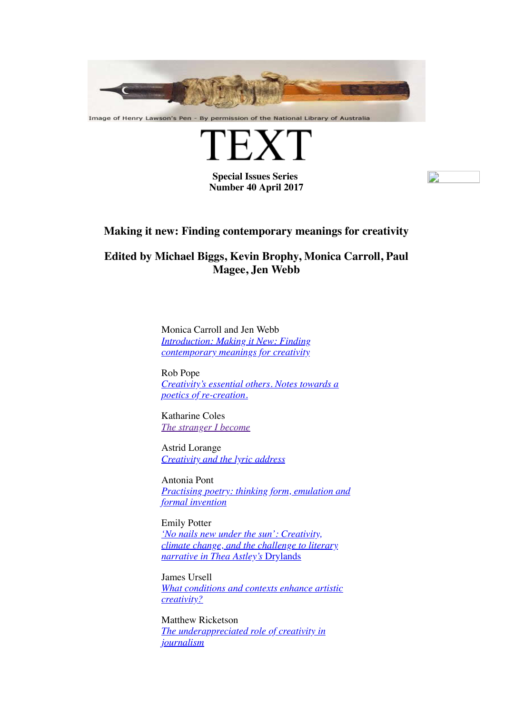

Image of Henry Lawson's Pen - By permission of the National Library of Australia



**Special Issues Series Number 40 April 2017**

 $\mathbf{L}$ 

## **Making it new: Finding contemporary meanings for creativity**

## **Edited by Michael Biggs, Kevin Brophy, Monica Carroll, Paul Magee, Jen Webb**

Monica Carroll and Jen Webb *Introduction: Making it New: Finding contemporary meanings for creativity*

Rob Pope *Creativity's essential others. Notes towards a poetics of re-creation.*

Katharine Coles *The stranger I become*

Astrid Lorange *Creativity and the lyric address*

Antonia Pont *Practising poetry: thinking form, emulation and formal invention*

Emily Potter *'No nails new under the sun': Creativity, climate change, and the challenge to literary narrative in Thea Astley's* Drylands

James Ursell *What conditions and contexts enhance artistic creativity?*

Matthew Ricketson *The underappreciated role of creativity in journalism*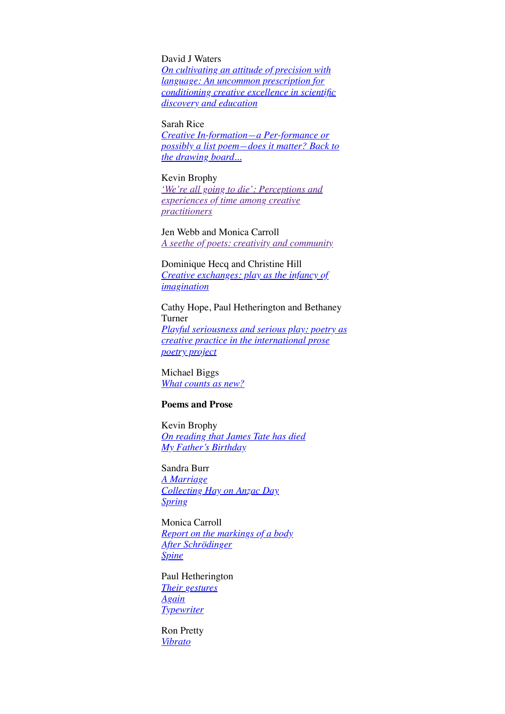## David J Waters

*On cultivating an attitude of precision with language: An uncommon prescription for conditioning creative excellence in scientific discovery and education*

Sarah Rice

*Creative In-formation—a Per-formance or possibly a list poem—does it matter? Back to the drawing board...*

Kevin Brophy *'We're all going to die': Perceptions and experiences of time among creative practitioners*

Jen Webb and Monica Carroll *A seethe of poets: creativity and community*

Dominique Hecq and Christine Hill *Creative exchanges: play as the infancy of imagination*

Cathy Hope, Paul Hetherington and Bethaney Turner *Playful seriousness and serious play: poetry as creative practice in the international prose poetry project*

Michael Biggs *What counts as new?*

## **Poems and Prose**

Kevin Brophy *On reading that James Tate has died My Father's Birthday*

Sandra Burr *A Marriage Collecting Hay on Anzac Day Spring*

Monica Carroll *Report on the markings of a body After Schrödinger Spine*

Paul Hetherington *Their gestures Again Typewriter*

Ron Pretty *Vibrato*